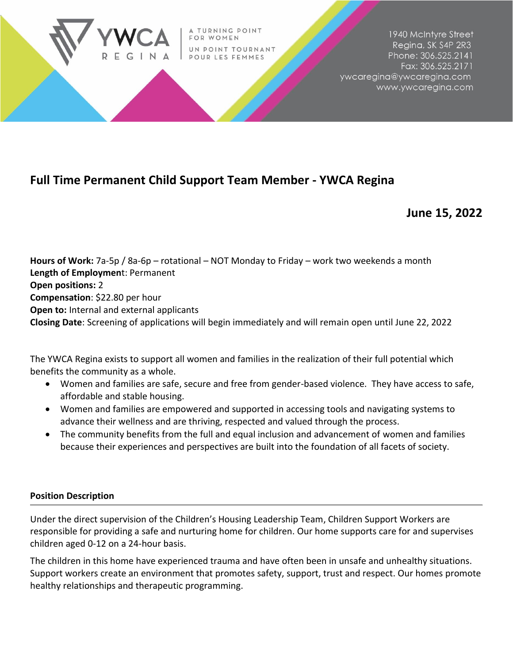

# **Full Time Permanent Child Support Team Member - YWCA Regina**

# **June 15, 2022**

**Hours of Work:** 7a-5p / 8a-6p – rotational – NOT Monday to Friday – work two weekends a month **Length of Employmen**t: Permanent **Open positions:** 2 **Compensation**: \$22.80 per hour **Open to:** Internal and external applicants **Closing Date**: Screening of applications will begin immediately and will remain open until June 22, 2022

The YWCA Regina exists to support all women and families in the realization of their full potential which benefits the community as a whole.

- Women and families are safe, secure and free from gender-based violence. They have access to safe, affordable and stable housing.
- Women and families are empowered and supported in accessing tools and navigating systems to advance their wellness and are thriving, respected and valued through the process.
- The community benefits from the full and equal inclusion and advancement of women and families because their experiences and perspectives are built into the foundation of all facets of society.

#### **Position Description**

Under the direct supervision of the Children's Housing Leadership Team, Children Support Workers are responsible for providing a safe and nurturing home for children. Our home supports care for and supervises children aged 0-12 on a 24-hour basis.

The children in this home have experienced trauma and have often been in unsafe and unhealthy situations. Support workers create an environment that promotes safety, support, trust and respect. Our homes promote healthy relationships and therapeutic programming.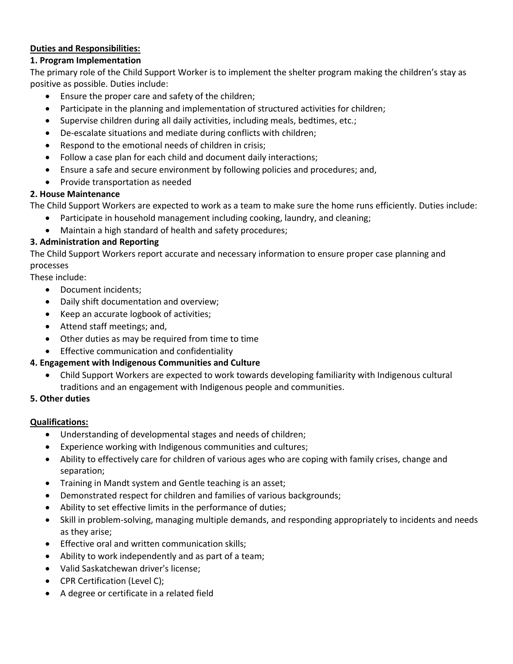#### **Duties and Responsibilities:**

#### **1. Program Implementation**

The primary role of the Child Support Worker is to implement the shelter program making the children's stay as positive as possible. Duties include:

- Ensure the proper care and safety of the children;
- Participate in the planning and implementation of structured activities for children;
- Supervise children during all daily activities, including meals, bedtimes, etc.;
- De-escalate situations and mediate during conflicts with children;
- Respond to the emotional needs of children in crisis;
- Follow a case plan for each child and document daily interactions;
- Ensure a safe and secure environment by following policies and procedures; and,
- Provide transportation as needed

# **2. House Maintenance**

The Child Support Workers are expected to work as a team to make sure the home runs efficiently. Duties include:

- Participate in household management including cooking, laundry, and cleaning;
- Maintain a high standard of health and safety procedures;

### **3. Administration and Reporting**

The Child Support Workers report accurate and necessary information to ensure proper case planning and processes

These include:

- Document incidents;
- Daily shift documentation and overview;
- Keep an accurate logbook of activities;
- Attend staff meetings; and,
- Other duties as may be required from time to time
- Effective communication and confidentiality
- **4. Engagement with Indigenous Communities and Culture** 
	- Child Support Workers are expected to work towards developing familiarity with Indigenous cultural traditions and an engagement with Indigenous people and communities.

### **5. Other duties**

### **Qualifications:**

- Understanding of developmental stages and needs of children;
- Experience working with Indigenous communities and cultures;
- Ability to effectively care for children of various ages who are coping with family crises, change and separation;
- Training in Mandt system and Gentle teaching is an asset;
- Demonstrated respect for children and families of various backgrounds;
- Ability to set effective limits in the performance of duties;
- Skill in problem-solving, managing multiple demands, and responding appropriately to incidents and needs as they arise;
- Effective oral and written communication skills;
- Ability to work independently and as part of a team;
- Valid Saskatchewan driver's license;
- CPR Certification (Level C);
- A degree or certificate in a related field